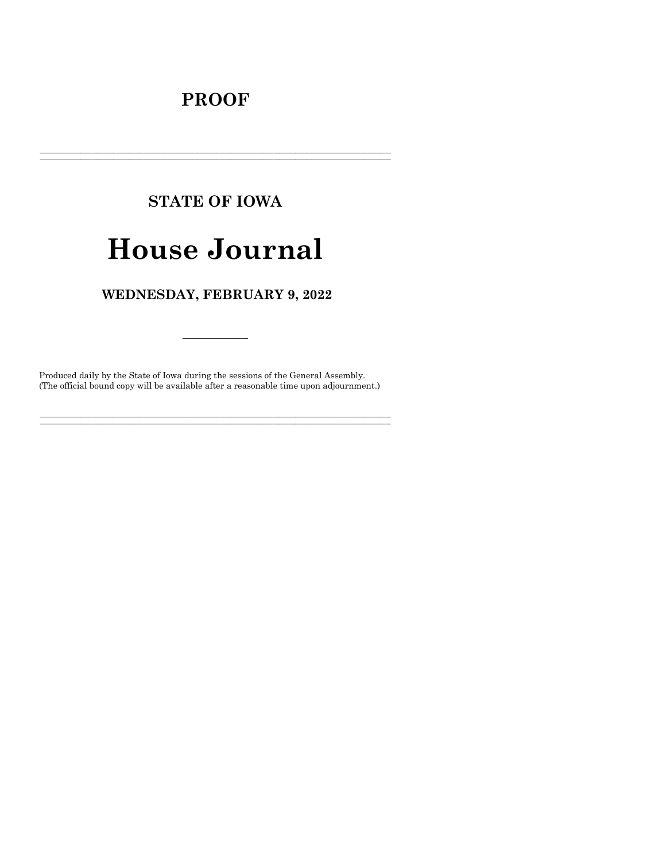# **PROOF**

# **STATE OF IOWA**

# **House Journal**

# WEDNESDAY, FEBRUARY 9, 2022

Produced daily by the State of Iowa during the sessions of the General Assembly. (The official bound copy will be available after a reasonable time upon adjournment.)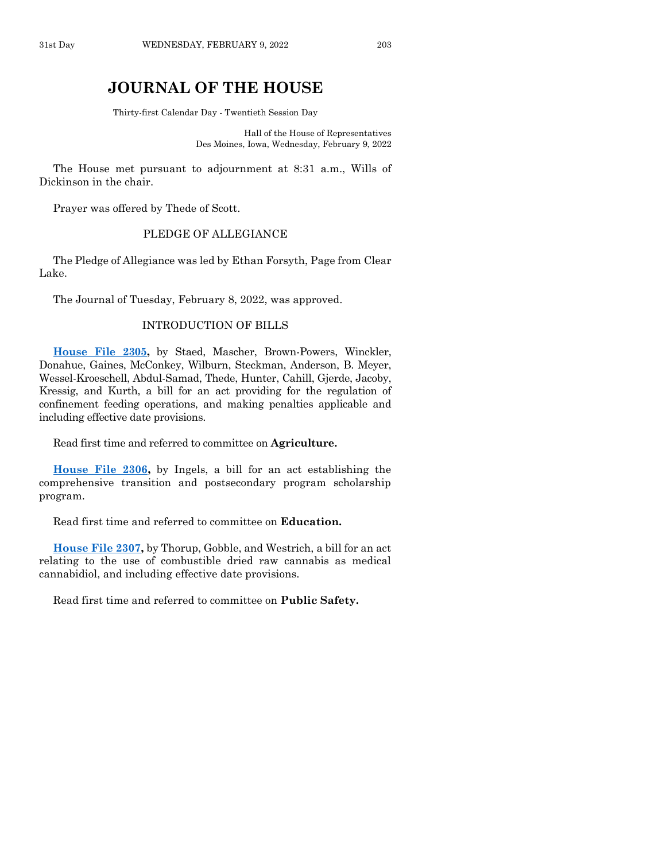# **JOURNAL OF THE HOUSE**

Thirty-first Calendar Day - Twentieth Session Day

Hall of the House of Representatives Des Moines, Iowa, Wednesday, February 9, 2022

The House met pursuant to adjournment at 8:31 a.m., Wills of Dickinson in the chair.

Prayer was offered by Thede of Scott.

# PLEDGE OF ALLEGIANCE

The Pledge of Allegiance was led by Ethan Forsyth, Page from Clear Lake.

The Journal of Tuesday, February 8, 2022, was approved.

#### INTRODUCTION OF BILLS

**[House File 2305,](https://www.legis.iowa.gov/legislation/BillBook?ga=89&ba=HF2305)** by Staed, Mascher, Brown-Powers, Winckler, Donahue, Gaines, McConkey, Wilburn, Steckman, Anderson, B. Meyer, Wessel-Kroeschell, Abdul-Samad, Thede, Hunter, Cahill, Gjerde, Jacoby, Kressig, and Kurth, a bill for an act providing for the regulation of confinement feeding operations, and making penalties applicable and including effective date provisions.

Read first time and referred to committee on **Agriculture.**

**[House File 2306,](https://www.legis.iowa.gov/legislation/BillBook?ga=89&ba=HF2306)** by Ingels, a bill for an act establishing the comprehensive transition and postsecondary program scholarship program.

Read first time and referred to committee on **Education.**

**[House File 2307,](https://www.legis.iowa.gov/legislation/BillBook?ga=89&ba=HF2307)** by Thorup, Gobble, and Westrich, a bill for an act relating to the use of combustible dried raw cannabis as medical cannabidiol, and including effective date provisions.

Read first time and referred to committee on **Public Safety.**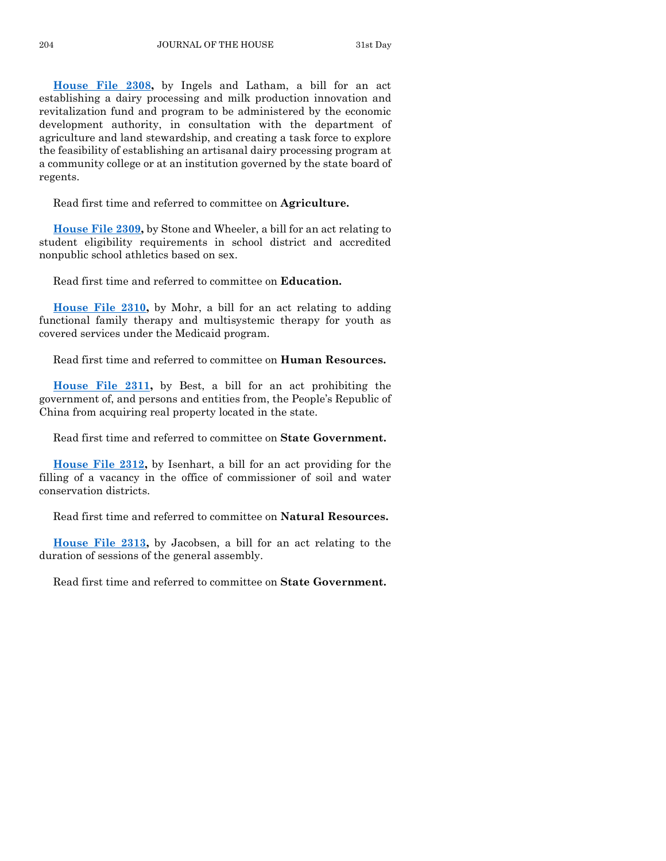**[House File 2308,](https://www.legis.iowa.gov/legislation/BillBook?ga=89&ba=HF2308)** by Ingels and Latham, a bill for an act establishing a dairy processing and milk production innovation and revitalization fund and program to be administered by the economic development authority, in consultation with the department of agriculture and land stewardship, and creating a task force to explore the feasibility of establishing an artisanal dairy processing program at a community college or at an institution governed by the state board of regents.

Read first time and referred to committee on **Agriculture.**

**[House File 2309,](https://www.legis.iowa.gov/legislation/BillBook?ga=89&ba=HF2309)** by Stone and Wheeler, a bill for an act relating to student eligibility requirements in school district and accredited nonpublic school athletics based on sex.

Read first time and referred to committee on **Education.**

**[House File 2310,](https://www.legis.iowa.gov/legislation/BillBook?ga=89&ba=HF2310)** by Mohr, a bill for an act relating to adding functional family therapy and multisystemic therapy for youth as covered services under the Medicaid program.

Read first time and referred to committee on **Human Resources.**

**[House File 2311,](https://www.legis.iowa.gov/legislation/BillBook?ga=89&ba=HF2311)** by Best, a bill for an act prohibiting the government of, and persons and entities from, the People's Republic of China from acquiring real property located in the state.

Read first time and referred to committee on **State Government.**

**[House File 2312,](https://www.legis.iowa.gov/legislation/BillBook?ga=89&ba=HF2312)** by Isenhart, a bill for an act providing for the filling of a vacancy in the office of commissioner of soil and water conservation districts.

Read first time and referred to committee on **Natural Resources.**

**[House File 2313,](https://www.legis.iowa.gov/legislation/BillBook?ga=89&ba=HF2313)** by Jacobsen, a bill for an act relating to the duration of sessions of the general assembly.

Read first time and referred to committee on **State Government.**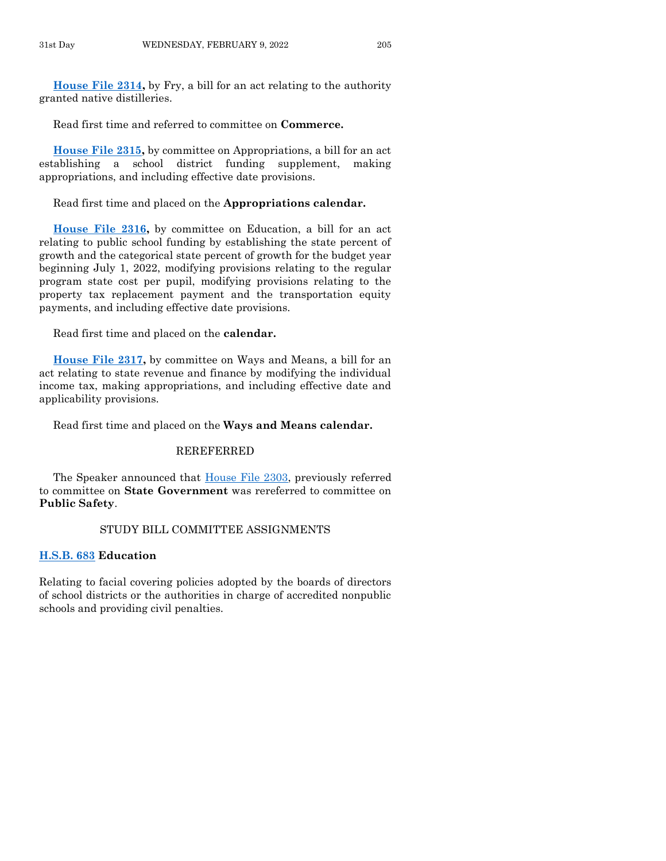**[House File 2314,](https://www.legis.iowa.gov/legislation/BillBook?ga=89&ba=HF2314)** by Fry, a bill for an act relating to the authority granted native distilleries.

Read first time and referred to committee on **Commerce.**

**[House File 2315,](https://www.legis.iowa.gov/legislation/BillBook?ga=89&ba=HF2315)** by committee on Appropriations, a bill for an act establishing a school district funding supplement, making appropriations, and including effective date provisions.

Read first time and placed on the **Appropriations calendar.**

**[House File 2316,](https://www.legis.iowa.gov/legislation/BillBook?ga=89&ba=HF2316)** by committee on Education, a bill for an act relating to public school funding by establishing the state percent of growth and the categorical state percent of growth for the budget year beginning July 1, 2022, modifying provisions relating to the regular program state cost per pupil, modifying provisions relating to the property tax replacement payment and the transportation equity payments, and including effective date provisions.

Read first time and placed on the **calendar.**

**[House File 2317,](https://www.legis.iowa.gov/legislation/BillBook?ga=89&ba=HF2317)** by committee on Ways and Means, a bill for an act relating to state revenue and finance by modifying the individual income tax, making appropriations, and including effective date and applicability provisions.

Read first time and placed on the **Ways and Means calendar.**

#### REREFERRED

The Speaker announced that [House File 2303,](https://www.legis.iowa.gov/legislation/BillBook?ga=89&ba=HF2303) previously referred to committee on **State Government** was rereferred to committee on **Public Safety**.

#### STUDY BILL COMMITTEE ASSIGNMENTS

#### **[H.S.B. 683](https://www.legis.iowa.gov/legislation/BillBook?ga=89&ba=HSB683) Education**

Relating to facial covering policies adopted by the boards of directors of school districts or the authorities in charge of accredited nonpublic schools and providing civil penalties.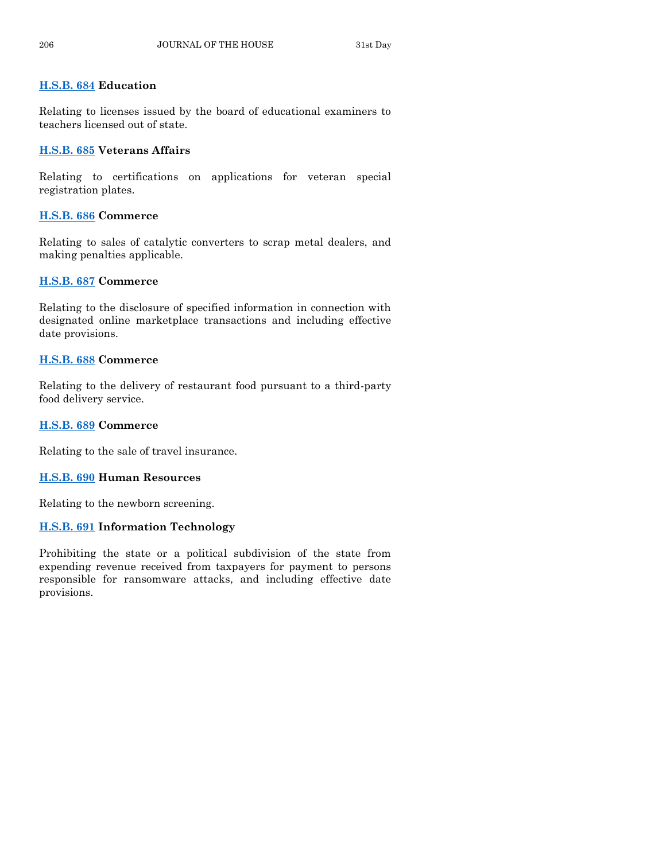# **[H.S.B. 684](https://www.legis.iowa.gov/legislation/BillBook?ga=89&ba=HSB684) Education**

Relating to licenses issued by the board of educational examiners to teachers licensed out of state.

# **[H.S.B. 685](https://www.legis.iowa.gov/legislation/BillBook?ga=89&ba=HSB685) Veterans Affairs**

Relating to certifications on applications for veteran special registration plates.

# **[H.S.B. 686](https://www.legis.iowa.gov/legislation/BillBook?ga=89&ba=HSB686) Commerce**

Relating to sales of catalytic converters to scrap metal dealers, and making penalties applicable.

# **[H.S.B. 687](https://www.legis.iowa.gov/legislation/BillBook?ga=89&ba=HSB687) Commerce**

Relating to the disclosure of specified information in connection with designated online marketplace transactions and including effective date provisions.

# **[H.S.B. 688](https://www.legis.iowa.gov/legislation/BillBook?ga=89&ba=HSB688) Commerce**

Relating to the delivery of restaurant food pursuant to a third-party food delivery service.

# **[H.S.B. 689](https://www.legis.iowa.gov/legislation/BillBook?ga=89&ba=HSB689) Commerce**

Relating to the sale of travel insurance.

# **[H.S.B. 690](https://www.legis.iowa.gov/legislation/BillBook?ga=89&ba=HSB690) Human Resources**

Relating to the newborn screening.

# **[H.S.B. 691](https://www.legis.iowa.gov/legislation/BillBook?ga=89&ba=HSB691) Information Technology**

Prohibiting the state or a political subdivision of the state from expending revenue received from taxpayers for payment to persons responsible for ransomware attacks, and including effective date provisions.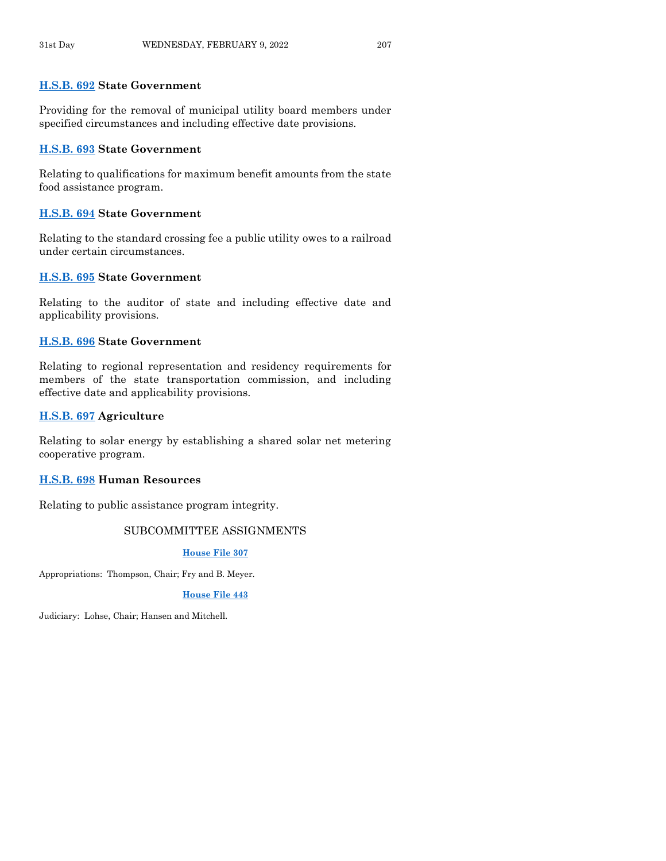#### **[H.S.B. 692](https://www.legis.iowa.gov/legislation/BillBook?ga=89&ba=HSB692) State Government**

Providing for the removal of municipal utility board members under specified circumstances and including effective date provisions.

## **[H.S.B. 693](https://www.legis.iowa.gov/legislation/BillBook?ga=89&ba=HSB693) State Government**

Relating to qualifications for maximum benefit amounts from the state food assistance program.

# **[H.S.B. 694](https://www.legis.iowa.gov/legislation/BillBook?ga=89&ba=HSB694) State Government**

Relating to the standard crossing fee a public utility owes to a railroad under certain circumstances.

#### **[H.S.B. 695](https://www.legis.iowa.gov/legislation/BillBook?ga=89&ba=HSB695) State Government**

Relating to the auditor of state and including effective date and applicability provisions.

#### **[H.S.B. 696](https://www.legis.iowa.gov/legislation/BillBook?ga=89&ba=HSB696) State Government**

Relating to regional representation and residency requirements for members of the state transportation commission, and including effective date and applicability provisions.

# **[H.S.B. 697](https://www.legis.iowa.gov/legislation/BillBook?ga=89&ba=HSB697) Agriculture**

Relating to solar energy by establishing a shared solar net metering cooperative program.

#### **[H.S.B. 698](https://www.legis.iowa.gov/legislation/BillBook?ga=89&ba=HSB698) Human Resources**

Relating to public assistance program integrity.

# SUBCOMMITTEE ASSIGNMENTS

#### **[House File 307](https://www.legis.iowa.gov/legislation/BillBook?ga=89&ba=HF307)**

Appropriations: Thompson, Chair; Fry and B. Meyer.

#### **[House File 443](https://www.legis.iowa.gov/legislation/BillBook?ga=89&ba=HF443)**

Judiciary: Lohse, Chair; Hansen and Mitchell.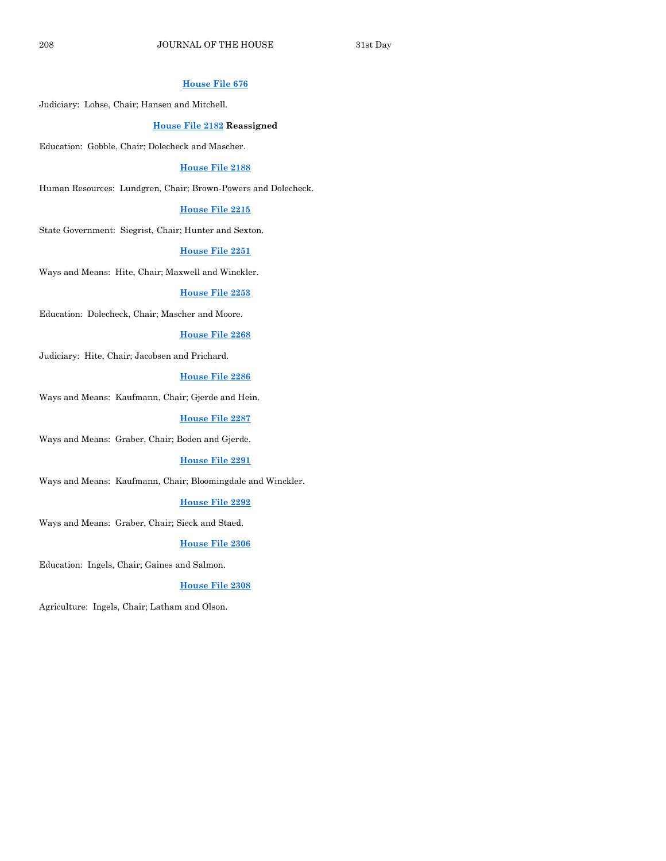#### **[House File 676](https://www.legis.iowa.gov/legislation/BillBook?ga=89&ba=HF676)**

Judiciary: Lohse, Chair; Hansen and Mitchell.

#### **[House File 2182](https://www.legis.iowa.gov/legislation/BillBook?ga=89&ba=HF2182) Reassigned**

Education: Gobble, Chair; Dolecheck and Mascher.

#### **[House File 2188](https://www.legis.iowa.gov/legislation/BillBook?ga=89&ba=HF2188)**

Human Resources: Lundgren, Chair; Brown-Powers and Dolecheck.

#### **[House File 2215](https://www.legis.iowa.gov/legislation/BillBook?ga=89&ba=HF2215)**

State Government: Siegrist, Chair; Hunter and Sexton.

#### **[House File 2251](https://www.legis.iowa.gov/legislation/BillBook?ga=89&ba=HF2251)**

Ways and Means: Hite, Chair; Maxwell and Winckler.

#### **[House File 2253](https://www.legis.iowa.gov/legislation/BillBook?ga=89&ba=HF2253)**

Education: Dolecheck, Chair; Mascher and Moore.

#### **[House File 2268](https://www.legis.iowa.gov/legislation/BillBook?ga=89&ba=HF2268)**

Judiciary: Hite, Chair; Jacobsen and Prichard.

## **[House File 2286](https://www.legis.iowa.gov/legislation/BillBook?ga=89&ba=HF2286)**

Ways and Means: Kaufmann, Chair; Gjerde and Hein.

#### **[House File 2287](https://www.legis.iowa.gov/legislation/BillBook?ga=89&ba=HF2287)**

Ways and Means: Graber, Chair; Boden and Gjerde.

#### **[House File 2291](https://www.legis.iowa.gov/legislation/BillBook?ga=89&ba=HF2291)**

Ways and Means: Kaufmann, Chair; Bloomingdale and Winckler.

#### **[House File 2292](https://www.legis.iowa.gov/legislation/BillBook?ga=89&ba=HF2292)**

Ways and Means: Graber, Chair; Sieck and Staed.

#### **[House File 2306](https://www.legis.iowa.gov/legislation/BillBook?ga=89&ba=HF2306)**

Education: Ingels, Chair; Gaines and Salmon.

#### **[House File 2308](https://www.legis.iowa.gov/legislation/BillBook?ga=89&ba=HF2308)**

Agriculture: Ingels, Chair; Latham and Olson.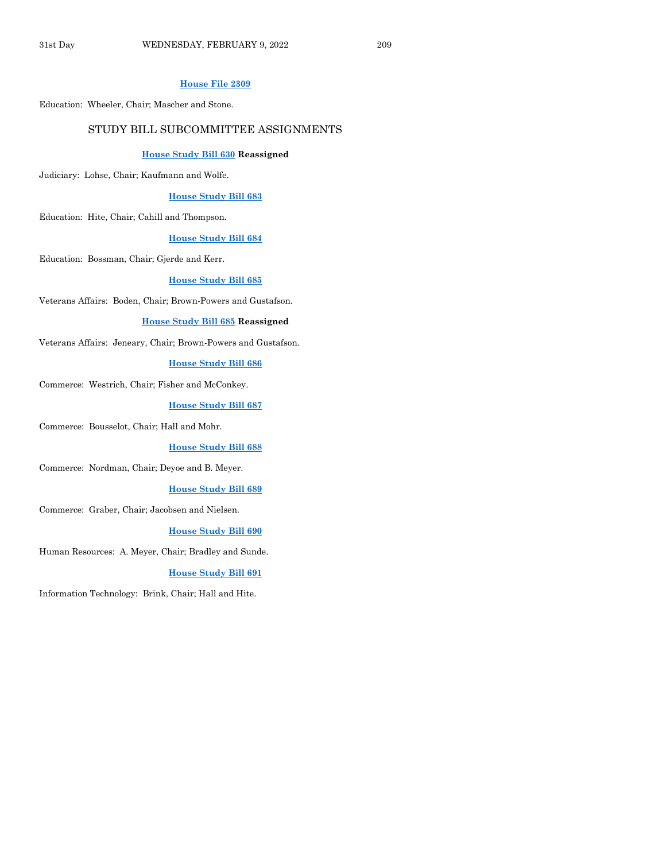#### **[House File 2309](https://www.legis.iowa.gov/legislation/BillBook?ga=89&ba=HF2309)**

Education: Wheeler, Chair; Mascher and Stone.

#### STUDY BILL SUBCOMMITTEE ASSIGNMENTS

#### **[House Study Bill 630](https://www.legis.iowa.gov/legislation/BillBook?ga=89&ba=HSB630) Reassigned**

Judiciary: Lohse, Chair; Kaufmann and Wolfe.

#### **[House Study Bill 683](https://www.legis.iowa.gov/legislation/BillBook?ga=89&ba=HSB683)**

Education: Hite, Chair; Cahill and Thompson.

#### **[House Study Bill 684](https://www.legis.iowa.gov/legislation/BillBook?ga=89&ba=HSB684)**

Education: Bossman, Chair; Gjerde and Kerr.

#### **[House Study Bill 685](https://www.legis.iowa.gov/legislation/BillBook?ga=89&ba=HSB685)**

Veterans Affairs: Boden, Chair; Brown-Powers and Gustafson.

#### **[House Study Bill 685](https://www.legis.iowa.gov/legislation/BillBook?ga=89&ba=HSB685) Reassigned**

Veterans Affairs: Jeneary, Chair; Brown-Powers and Gustafson.

#### **[House Study Bill 686](https://www.legis.iowa.gov/legislation/BillBook?ga=89&ba=HSB686)**

Commerce: Westrich, Chair; Fisher and McConkey.

#### **[House Study Bill 687](https://www.legis.iowa.gov/legislation/BillBook?ga=89&ba=HSB687)**

Commerce: Bousselot, Chair; Hall and Mohr.

**[House Study Bill 688](https://www.legis.iowa.gov/legislation/BillBook?ga=89&ba=HSB688)**

Commerce: Nordman, Chair; Deyoe and B. Meyer.

#### **[House Study Bill 689](https://www.legis.iowa.gov/legislation/BillBook?ga=89&ba=HSB689)**

Commerce: Graber, Chair; Jacobsen and Nielsen.

#### **[House Study Bill 690](https://www.legis.iowa.gov/legislation/BillBook?ga=89&ba=HSB690)**

Human Resources: A. Meyer, Chair; Bradley and Sunde.

#### **[House Study Bill 691](https://www.legis.iowa.gov/legislation/BillBook?ga=89&ba=HSB691)**

Information Technology: Brink, Chair; Hall and Hite.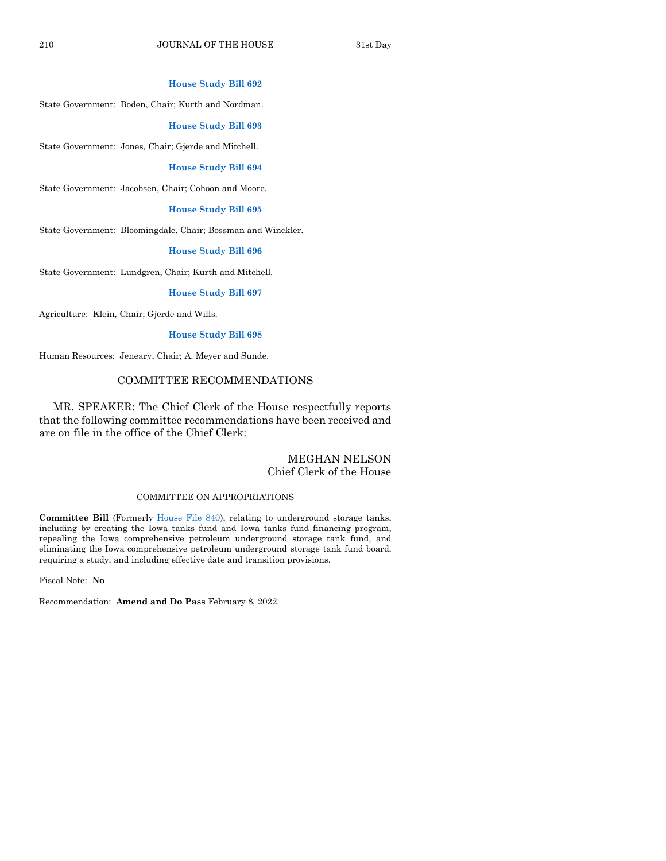#### **[House Study Bill 692](https://www.legis.iowa.gov/legislation/BillBook?ga=89&ba=HSB692)**

State Government: Boden, Chair; Kurth and Nordman.

**[House Study Bill 693](https://www.legis.iowa.gov/legislation/BillBook?ga=89&ba=HSB693)**

State Government: Jones, Chair; Gjerde and Mitchell.

#### **[House Study Bill 694](https://www.legis.iowa.gov/legislation/BillBook?ga=89&ba=HSB694)**

State Government: Jacobsen, Chair; Cohoon and Moore.

#### **[House Study Bill 695](https://www.legis.iowa.gov/legislation/BillBook?ga=89&ba=HSB695)**

State Government: Bloomingdale, Chair; Bossman and Winckler.

#### **[House Study Bill 696](https://www.legis.iowa.gov/legislation/BillBook?ga=89&ba=HSB696)**

State Government: Lundgren, Chair; Kurth and Mitchell.

#### **[House Study Bill 697](https://www.legis.iowa.gov/legislation/BillBook?ga=89&ba=HSB697)**

Agriculture: Klein, Chair; Gjerde and Wills.

#### **[House Study Bill 698](https://www.legis.iowa.gov/legislation/BillBook?ga=89&ba=HSB698)**

Human Resources: Jeneary, Chair; A. Meyer and Sunde.

#### COMMITTEE RECOMMENDATIONS

MR. SPEAKER: The Chief Clerk of the House respectfully reports that the following committee recommendations have been received and are on file in the office of the Chief Clerk:

# MEGHAN NELSON Chief Clerk of the House

#### COMMITTEE ON APPROPRIATIONS

Committee Bill (Formerly [House File 840\)](https://www.legis.iowa.gov/legislation/BillBook?ga=89&ba=HF840), relating to underground storage tanks, including by creating the Iowa tanks fund and Iowa tanks fund financing program, repealing the Iowa comprehensive petroleum underground storage tank fund, and eliminating the Iowa comprehensive petroleum underground storage tank fund board, requiring a study, and including effective date and transition provisions.

Fiscal Note: **No**

Recommendation: **Amend and Do Pass** February 8, 2022.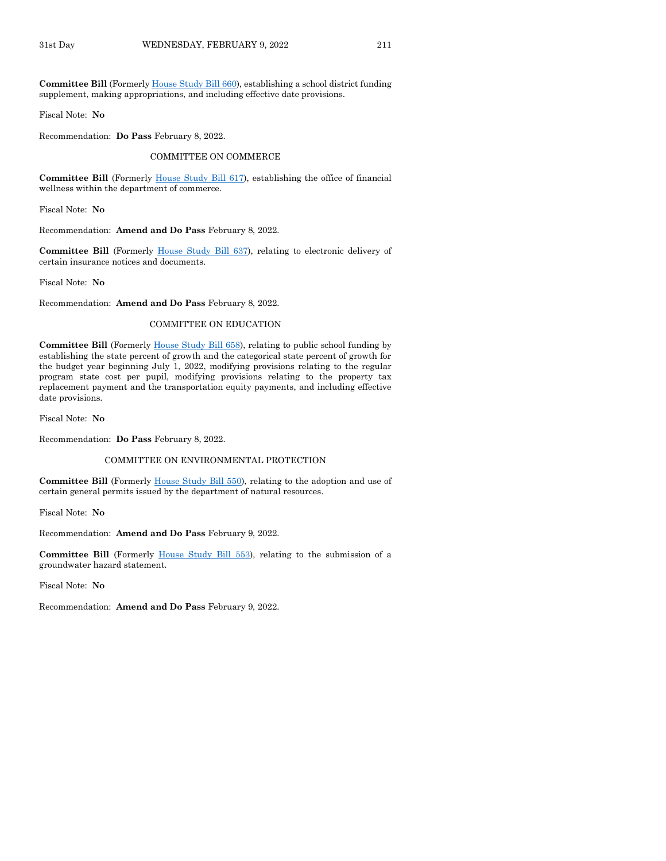**Committee Bill** (Formerl[y House Study Bill 660\)](https://www.legis.iowa.gov/legislation/BillBook?ga=89&ba=HSB660), establishing a school district funding supplement, making appropriations, and including effective date provisions.

Fiscal Note: **No**

Recommendation: **Do Pass** February 8, 2022.

COMMITTEE ON COMMERCE

**Committee Bill** (Formerly [House Study Bill 617\)](https://www.legis.iowa.gov/legislation/BillBook?ga=89&ba=HSB617), establishing the office of financial wellness within the department of commerce.

Fiscal Note: **No**

Recommendation: **Amend and Do Pass** February 8, 2022.

**Committee Bill** (Formerly [House Study Bill 637\)](https://www.legis.iowa.gov/legislation/BillBook?ga=89&ba=HSB637), relating to electronic delivery of certain insurance notices and documents.

Fiscal Note: **No**

Recommendation: **Amend and Do Pass** February 8, 2022.

#### COMMITTEE ON EDUCATION

**Committee Bill** (Formerly [House Study Bill 658\)](https://www.legis.iowa.gov/legislation/BillBook?ga=89&ba=HSB658), relating to public school funding by establishing the state percent of growth and the categorical state percent of growth for the budget year beginning July 1, 2022, modifying provisions relating to the regular program state cost per pupil, modifying provisions relating to the property tax replacement payment and the transportation equity payments, and including effective date provisions.

Fiscal Note: **No**

Recommendation: **Do Pass** February 8, 2022.

#### COMMITTEE ON ENVIRONMENTAL PROTECTION

**Committee Bill** (Formerly [House Study Bill 550\)](https://www.legis.iowa.gov/legislation/BillBook?ga=89&ba=HSB550), relating to the adoption and use of certain general permits issued by the department of natural resources.

Fiscal Note: **No**

Recommendation: **Amend and Do Pass** February 9, 2022.

**Committee Bill** (Formerly [House Study Bill 553\)](https://www.legis.iowa.gov/legislation/BillBook?ga=89&ba=HSB553), relating to the submission of a groundwater hazard statement.

Fiscal Note: **No**

Recommendation: **Amend and Do Pass** February 9, 2022.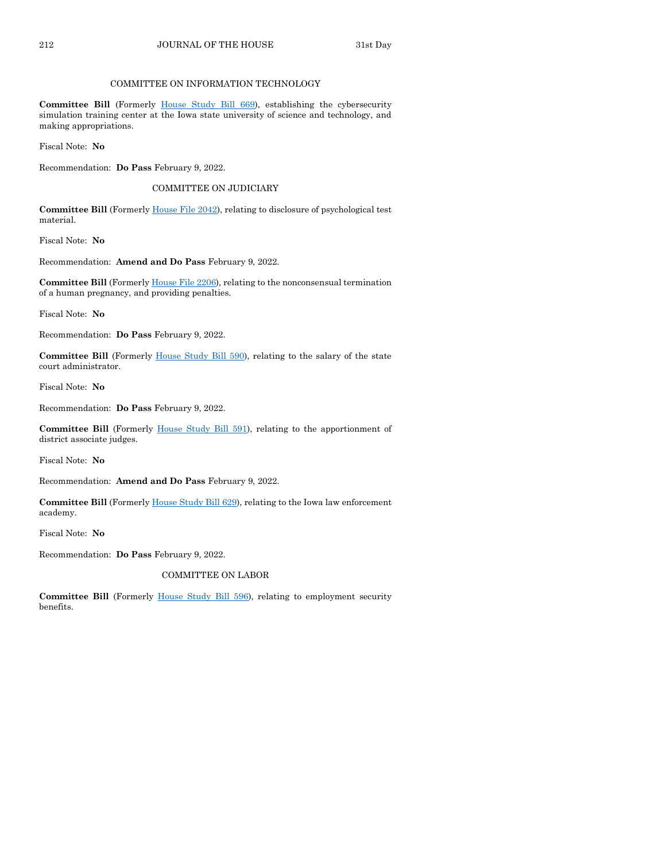#### COMMITTEE ON INFORMATION TECHNOLOGY

**Committee Bill** (Formerly [House Study Bill 669\)](https://www.legis.iowa.gov/legislation/BillBook?ga=89&ba=HSB669), establishing the cybersecurity simulation training center at the Iowa state university of science and technology, and making appropriations.

Fiscal Note: **No**

Recommendation: **Do Pass** February 9, 2022.

#### COMMITTEE ON JUDICIARY

**Committee Bill** (Formerly [House File 2042\)](https://www.legis.iowa.gov/legislation/BillBook?ga=89&ba=HF2042), relating to disclosure of psychological test material.

Fiscal Note: **No**

Recommendation: **Amend and Do Pass** February 9, 2022.

**Committee Bill** (Formerl[y House File 2206\)](https://www.legis.iowa.gov/legislation/BillBook?ga=89&ba=HF2206), relating to the nonconsensual termination of a human pregnancy, and providing penalties.

Fiscal Note: **No**

Recommendation: **Do Pass** February 9, 2022.

**Committee Bill** (Formerly [House Study Bill 590\)](https://www.legis.iowa.gov/legislation/BillBook?ga=89&ba=HSB590), relating to the salary of the state court administrator.

Fiscal Note: **No**

Recommendation: **Do Pass** February 9, 2022.

**Committee Bill** (Formerly [House Study Bill 591\)](https://www.legis.iowa.gov/legislation/BillBook?ga=89&ba=HSB591), relating to the apportionment of district associate judges.

Fiscal Note: **No**

Recommendation: **Amend and Do Pass** February 9, 2022.

Committee Bill (Formerl[y House Study Bill 629\)](https://www.legis.iowa.gov/legislation/BillBook?ga=89&ba=HSB629), relating to the Iowa law enforcement academy.

Fiscal Note: **No**

Recommendation: **Do Pass** February 9, 2022.

COMMITTEE ON LABOR

**Committee Bill** (Formerly [House Study Bill 596\)](https://www.legis.iowa.gov/legislation/BillBook?ga=89&ba=HSB596), relating to employment security benefits.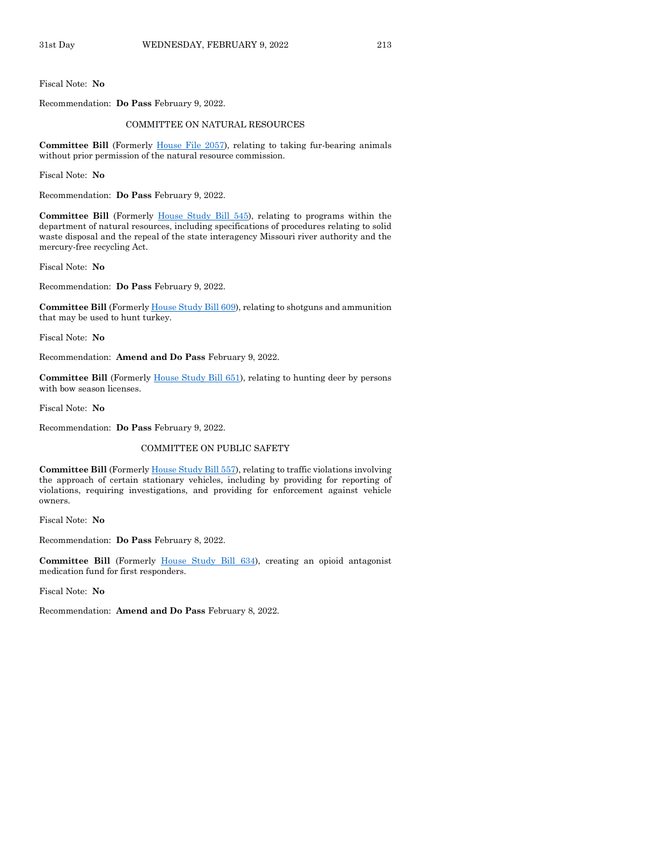Fiscal Note: **No**

Recommendation: **Do Pass** February 9, 2022.

#### COMMITTEE ON NATURAL RESOURCES

**Committee Bill** (Formerly [House File 2057\)](https://www.legis.iowa.gov/legislation/BillBook?ga=89&ba=HF2057), relating to taking fur-bearing animals without prior permission of the natural resource commission.

Fiscal Note: **No**

Recommendation: **Do Pass** February 9, 2022.

**Committee Bill** (Formerly [House Study Bill 545\)](https://www.legis.iowa.gov/legislation/BillBook?ga=89&ba=HSB545), relating to programs within the department of natural resources, including specifications of procedures relating to solid waste disposal and the repeal of the state interagency Missouri river authority and the mercury-free recycling Act.

Fiscal Note: **No**

Recommendation: **Do Pass** February 9, 2022.

**Committee Bill** (Formerl[y House Study Bill 609\)](https://www.legis.iowa.gov/legislation/BillBook?ga=89&ba=HSB609), relating to shotguns and ammunition that may be used to hunt turkey.

Fiscal Note: **No**

Recommendation: **Amend and Do Pass** February 9, 2022.

**Committee Bill** (Formerly [House Study Bill 651\)](https://www.legis.iowa.gov/legislation/BillBook?ga=89&ba=HSB651), relating to hunting deer by persons with bow season licenses.

Fiscal Note: **No**

Recommendation: **Do Pass** February 9, 2022.

#### COMMITTEE ON PUBLIC SAFETY

**Committee Bill** (Formerl[y House Study Bill 557\)](https://www.legis.iowa.gov/legislation/BillBook?ga=89&ba=HSB557), relating to traffic violations involving the approach of certain stationary vehicles, including by providing for reporting of violations, requiring investigations, and providing for enforcement against vehicle owners.

Fiscal Note: **No**

Recommendation: **Do Pass** February 8, 2022.

**Committee Bill** (Formerly [House Study Bill 634\)](https://www.legis.iowa.gov/legislation/BillBook?ga=89&ba=HSB634), creating an opioid antagonist medication fund for first responders.

Fiscal Note: **No**

Recommendation: **Amend and Do Pass** February 8, 2022.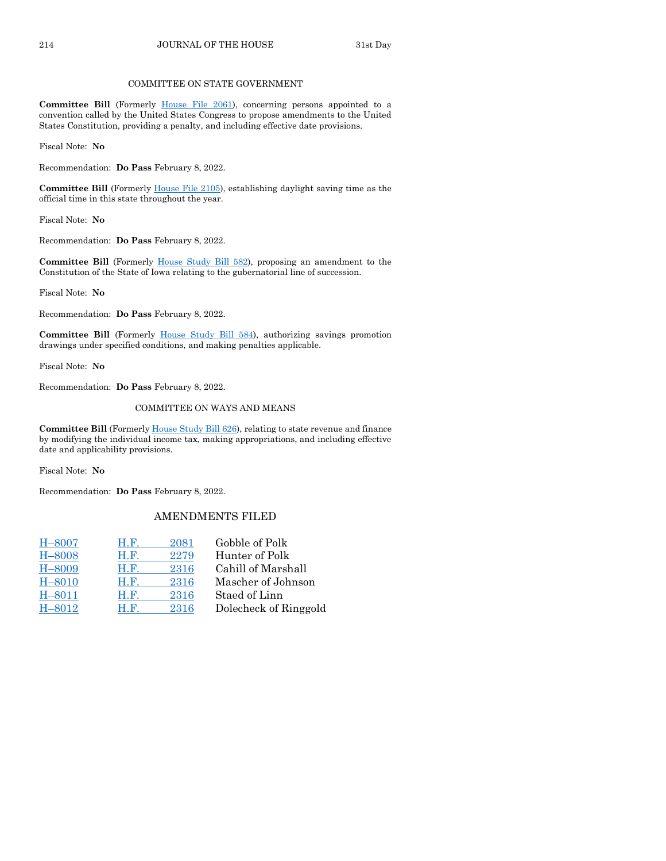#### COMMITTEE ON STATE GOVERNMENT

**Committee Bill** (Formerly [House File 2061\)](https://www.legis.iowa.gov/legislation/BillBook?ga=89&ba=HF2061), concerning persons appointed to a convention called by the United States Congress to propose amendments to the United States Constitution, providing a penalty, and including effective date provisions.

Fiscal Note: **No**

Recommendation: **Do Pass** February 8, 2022.

**Committee Bill** (Formerly [House File 2105\)](https://www.legis.iowa.gov/legislation/BillBook?ga=89&ba=HF2105), establishing daylight saving time as the official time in this state throughout the year.

Fiscal Note: **No**

Recommendation: **Do Pass** February 8, 2022.

**Committee Bill** (Formerly [House Study Bill 582\)](https://www.legis.iowa.gov/legislation/BillBook?ga=89&ba=HSB582), proposing an amendment to the Constitution of the State of Iowa relating to the gubernatorial line of succession.

Fiscal Note: **No**

Recommendation: **Do Pass** February 8, 2022.

**Committee Bill** (Formerly [House Study Bill 584\)](https://www.legis.iowa.gov/legislation/BillBook?ga=89&ba=HSB584), authorizing savings promotion drawings under specified conditions, and making penalties applicable.

Fiscal Note: **No**

Recommendation: **Do Pass** February 8, 2022.

#### COMMITTEE ON WAYS AND MEANS

Committee Bill (Formerl[y House Study Bill 626\)](https://www.legis.iowa.gov/legislation/BillBook?ga=89&ba=HSB626), relating to state revenue and finance by modifying the individual income tax, making appropriations, and including effective date and applicability provisions.

Fiscal Note: **No**

Recommendation: **Do Pass** February 8, 2022.

# AMENDMENTS FILED

| H.F.<br>2081 | Gobble of Polk        |
|--------------|-----------------------|
| 2279<br>H.F. | Hunter of Polk        |
| 2316<br>H.F. | Cahill of Marshall    |
| 2316<br>H.F. | Mascher of Johnson    |
| 2316<br>H.F. | Staed of Linn         |
| 2316<br>H.F. | Dolecheck of Ringgold |
|              |                       |